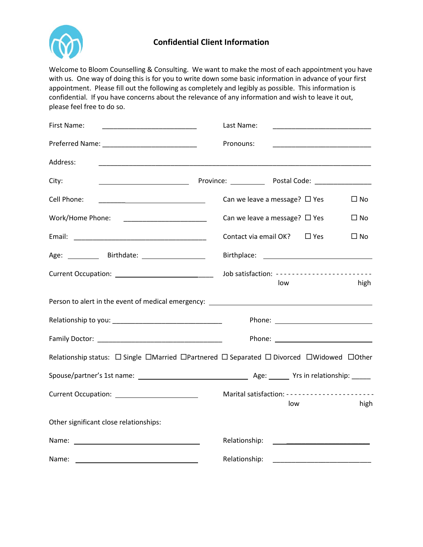

## **Confidential Client Information**

Welcome to Bloom Counselling & Consulting. We want to make the most of each appointment you have with us. One way of doing this is for you to write down some basic information in advance of your first appointment. Please fill out the following as completely and legibly as possible. This information is confidential. If you have concerns about the relevance of any information and wish to leave it out, please feel free to do so.

| First Name:<br><u> 1990 - Johann Barbara, martin amerikan ba</u> | Last Name:<br><u> 1989 - Johann John Harry Harry Harry Harry Harry Harry Harry Harry Harry Harry Harry Harry Harry Harry Harry H</u> |
|------------------------------------------------------------------|--------------------------------------------------------------------------------------------------------------------------------------|
|                                                                  | Pronouns:                                                                                                                            |
| Address:                                                         |                                                                                                                                      |
| City:                                                            |                                                                                                                                      |
| Cell Phone:                                                      | Can we leave a message? $\Box$ Yes<br>$\square$ No                                                                                   |
| Work/Home Phone:                                                 | Can we leave a message? $\Box$ Yes<br>$\Box$ No                                                                                      |
|                                                                  | Contact via email OK? $\Box$ Yes<br>$\Box$ No                                                                                        |
|                                                                  |                                                                                                                                      |
|                                                                  | Job satisfaction: ------------------------<br>high<br>low                                                                            |
|                                                                  |                                                                                                                                      |
|                                                                  |                                                                                                                                      |
|                                                                  |                                                                                                                                      |
|                                                                  | Relationship status: □ Single □Married □Partnered □ Separated □ Divorced □Widowed □Other                                             |
|                                                                  |                                                                                                                                      |
|                                                                  | Marital satisfaction: ----------------------<br>high<br>low                                                                          |
| Other significant close relationships:                           |                                                                                                                                      |
|                                                                  | Relationship:                                                                                                                        |
| Name:                                                            | Relationship:                                                                                                                        |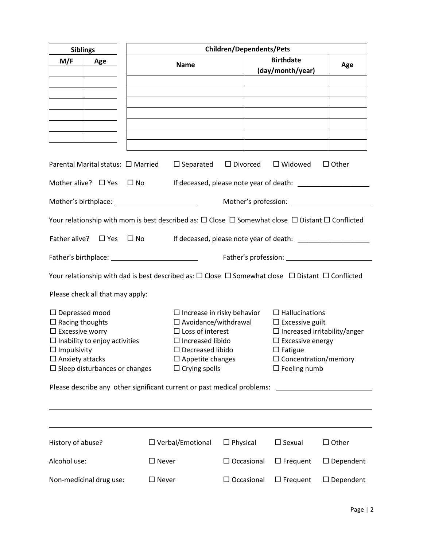| <b>Children/Dependents/Pets</b><br><b>Siblings</b>                                                                                                                                                           |  |                         |                                                                                                                                                                                                                                                                                                                                                                                                            |                                                 |                  |  |
|--------------------------------------------------------------------------------------------------------------------------------------------------------------------------------------------------------------|--|-------------------------|------------------------------------------------------------------------------------------------------------------------------------------------------------------------------------------------------------------------------------------------------------------------------------------------------------------------------------------------------------------------------------------------------------|-------------------------------------------------|------------------|--|
| M/F<br>Age                                                                                                                                                                                                   |  | <b>Name</b>             |                                                                                                                                                                                                                                                                                                                                                                                                            | <b>Birthdate</b><br>(day/month/year)            | Age              |  |
|                                                                                                                                                                                                              |  |                         |                                                                                                                                                                                                                                                                                                                                                                                                            |                                                 |                  |  |
|                                                                                                                                                                                                              |  |                         |                                                                                                                                                                                                                                                                                                                                                                                                            |                                                 |                  |  |
|                                                                                                                                                                                                              |  |                         |                                                                                                                                                                                                                                                                                                                                                                                                            |                                                 |                  |  |
| Parental Marital status: $\Box$ Married                                                                                                                                                                      |  |                         |                                                                                                                                                                                                                                                                                                                                                                                                            | $\Box$ Separated $\Box$ Divorced $\Box$ Widowed | $\Box$ Other     |  |
| Mother alive? $\Box$ Yes $\Box$ No                                                                                                                                                                           |  |                         |                                                                                                                                                                                                                                                                                                                                                                                                            |                                                 |                  |  |
| Mother's profession: Notified that the set of the set of the set of the set of the set of the set of the set o                                                                                               |  |                         |                                                                                                                                                                                                                                                                                                                                                                                                            |                                                 |                  |  |
| Your relationship with mom is best described as: $\Box$ Close $\Box$ Somewhat close $\Box$ Distant $\Box$ Conflicted                                                                                         |  |                         |                                                                                                                                                                                                                                                                                                                                                                                                            |                                                 |                  |  |
| Father alive? $\Box$ Yes $\Box$ No                                                                                                                                                                           |  |                         |                                                                                                                                                                                                                                                                                                                                                                                                            |                                                 |                  |  |
|                                                                                                                                                                                                              |  |                         |                                                                                                                                                                                                                                                                                                                                                                                                            |                                                 |                  |  |
| Your relationship with dad is best described as: $\Box$ Close $\Box$ Somewhat close $\Box$ Distant $\Box$ Conflicted                                                                                         |  |                         |                                                                                                                                                                                                                                                                                                                                                                                                            |                                                 |                  |  |
| Please check all that may apply:                                                                                                                                                                             |  |                         |                                                                                                                                                                                                                                                                                                                                                                                                            |                                                 |                  |  |
| $\Box$ Depressed mood<br>$\Box$ Racing thoughts<br>$\Box$ Excessive worry<br>$\Box$ Inability to enjoy activities<br>$\Box$ Impulsivity<br>$\Box$ Anxiety attacks<br>$\square$ Sleep disturbances or changes |  |                         | $\Box$ Increase in risky behavior<br>$\Box$ Hallucinations<br>$\square$ Avoidance/withdrawal<br>$\Box$ Excessive guilt<br>$\Box$ Increased irritability/anger<br>$\Box$ Loss of interest<br>$\Box$ Increased libido<br>$\square$ Excessive energy<br>$\square$ Fatigue<br>$\Box$ Decreased libido<br>$\Box$ Appetite changes<br>$\Box$ Concentration/memory<br>$\Box$ Crying spells<br>$\Box$ Feeling numb |                                                 |                  |  |
| Please describe any other significant current or past medical problems:                                                                                                                                      |  |                         |                                                                                                                                                                                                                                                                                                                                                                                                            |                                                 |                  |  |
|                                                                                                                                                                                                              |  |                         |                                                                                                                                                                                                                                                                                                                                                                                                            |                                                 |                  |  |
| History of abuse?                                                                                                                                                                                            |  | $\Box$ Verbal/Emotional | $\Box$ Physical                                                                                                                                                                                                                                                                                                                                                                                            | $\Box$ Sexual                                   | $\Box$ Other     |  |
| Alcohol use:                                                                                                                                                                                                 |  | $\square$ Never         | $\Box$ Occasional                                                                                                                                                                                                                                                                                                                                                                                          | $\Box$ Frequent                                 | $\Box$ Dependent |  |
| Non-medicinal drug use:                                                                                                                                                                                      |  | $\square$ Never         | $\Box$ Occasional                                                                                                                                                                                                                                                                                                                                                                                          | $\Box$ Frequent                                 | $\Box$ Dependent |  |